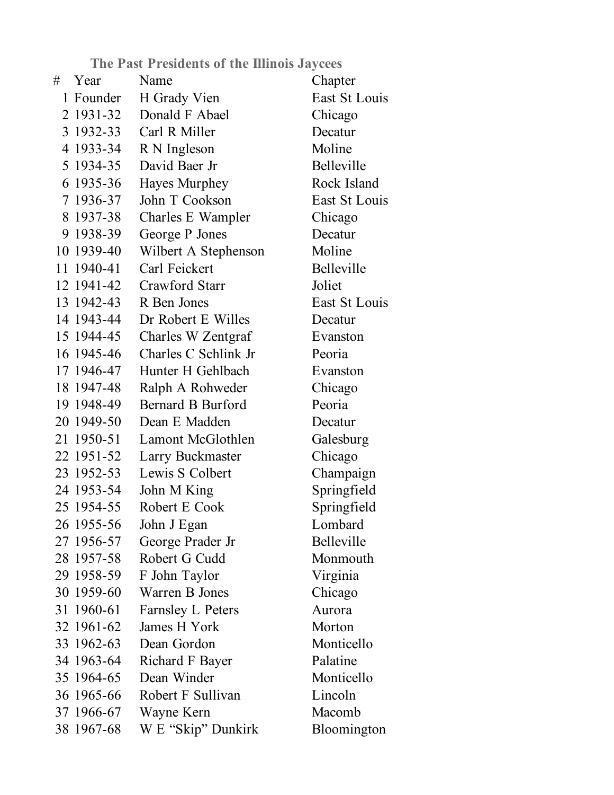**The Past Presidents of the Illinois Jaycees**

| # | Year       | Name                     | Chapter       |
|---|------------|--------------------------|---------------|
|   | 1 Founder  | H Grady Vien             | East St Louis |
|   | 2 1931-32  | Donald F Abael           | Chicago       |
|   | 3 1932-33  | Carl R Miller            | Decatur       |
|   | 4 1933-34  | R N Ingleson             | Moline        |
|   | 5 1934-35  | David Baer Jr            | Belleville    |
|   | 6 1935-36  | Hayes Murphey            | Rock Island   |
|   | 7 1936-37  | John T Cookson           | East St Louis |
|   | 8 1937-38  | Charles E Wampler        | Chicago       |
|   | 9 1938-39  | George P Jones           | Decatur       |
|   | 10 1939-40 | Wilbert A Stephenson     | Moline        |
|   | 11 1940-41 | Carl Feickert            | Belleville    |
|   | 12 1941-42 | Crawford Starr           | Joliet        |
|   | 13 1942-43 | R Ben Jones              | East St Louis |
|   | 14 1943-44 | Dr Robert E Willes       | Decatur       |
|   | 15 1944-45 | Charles W Zentgraf       | Evanston      |
|   | 16 1945-46 | Charles C Schlink Jr     | Peoria        |
|   | 17 1946-47 | Hunter H Gehlbach        | Evanston      |
|   | 18 1947-48 | Ralph A Rohweder         | Chicago       |
|   | 19 1948-49 | Bernard B Burford        | Peoria        |
|   | 20 1949-50 | Dean E Madden            | Decatur       |
|   | 21 1950-51 | Lamont McGlothlen        | Galesburg     |
|   | 22 1951-52 | Larry Buckmaster         | Chicago       |
|   | 23 1952-53 | Lewis S Colbert          | Champaign     |
|   | 24 1953-54 | John M King              | Springfield   |
|   | 25 1954-55 | Robert E Cook            | Springfield   |
|   | 26 1955-56 | John J Egan              | Lombard       |
|   | 27 1956-57 | George Prader Jr         | Belleville    |
|   | 28 1957-58 | Robert G Cudd            | Monmouth      |
|   | 29 1958-59 | F John Taylor            | Virginia      |
|   | 30 1959-60 | Warren B Jones           | Chicago       |
|   | 31 1960-61 | <b>Farnsley L Peters</b> | Aurora        |
|   | 32 1961-62 | James H York             | Morton        |
|   | 33 1962-63 | Dean Gordon              | Monticello    |
|   | 34 1963-64 | Richard F Bayer          | Palatine      |
|   | 35 1964-65 | Dean Winder              | Monticello    |
|   | 36 1965-66 | Robert F Sullivan        | Lincoln       |
|   | 37 1966-67 | Wayne Kern               | Macomb        |
|   | 38 1967-68 | W E "Skip" Dunkirk       | Bloomington   |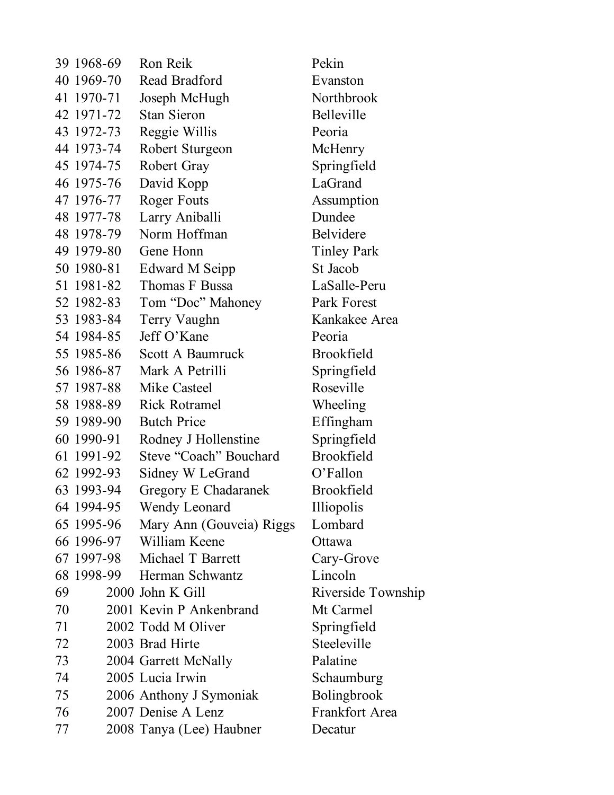|    | 39 1968-69 | Ron Reik                 | Pekin              |
|----|------------|--------------------------|--------------------|
|    | 40 1969-70 | Read Bradford            | Evanston           |
|    | 41 1970-71 | Joseph McHugh            | Northbrook         |
|    | 42 1971-72 | <b>Stan Sieron</b>       | Belleville         |
|    | 43 1972-73 | Reggie Willis            | Peoria             |
|    | 44 1973-74 | Robert Sturgeon          | McHenry            |
|    | 45 1974-75 | Robert Gray              | Springfield        |
|    | 46 1975-76 | David Kopp               | LaGrand            |
|    | 47 1976-77 | Roger Fouts              | Assumption         |
|    | 48 1977-78 | Larry Aniballi           | Dundee             |
|    | 48 1978-79 | Norm Hoffman             | Belvidere          |
|    | 49 1979-80 | Gene Honn                | <b>Tinley Park</b> |
|    | 50 1980-81 | Edward M Seipp           | St Jacob           |
|    | 51 1981-82 | Thomas F Bussa           | LaSalle-Peru       |
|    | 52 1982-83 | Tom "Doc" Mahoney        | Park Forest        |
|    | 53 1983-84 | Terry Vaughn             | Kankakee Area      |
|    | 54 1984-85 | Jeff O'Kane              | Peoria             |
|    | 55 1985-86 | Scott A Baumruck         | <b>Brookfield</b>  |
|    | 56 1986-87 | Mark A Petrilli          | Springfield        |
|    | 57 1987-88 | Mike Casteel             | Roseville          |
|    | 58 1988-89 | <b>Rick Rotramel</b>     | Wheeling           |
|    | 59 1989-90 | <b>Butch Price</b>       | Effingham          |
|    | 60 1990-91 | Rodney J Hollenstine     | Springfield        |
|    | 61 1991-92 | Steve "Coach" Bouchard   | <b>Brookfield</b>  |
|    | 62 1992-93 | Sidney W LeGrand         | O'Fallon           |
|    | 63 1993-94 | Gregory E Chadaranek     | <b>Brookfield</b>  |
|    | 64 1994-95 | Wendy Leonard            | Illiopolis         |
|    | 65 1995-96 | Mary Ann (Gouveia) Riggs | Lombard            |
|    | 66 1996-97 | William Keene            | Ottawa             |
|    | 67 1997-98 | Michael T Barrett        | Cary-Grove         |
|    | 68 1998-99 | Herman Schwantz          | Lincoln            |
| 69 |            | 2000 John K Gill         | Riverside Township |
| 70 |            | 2001 Kevin P Ankenbrand  | Mt Carmel          |
| 71 |            | 2002 Todd M Oliver       | Springfield        |
| 72 |            | 2003 Brad Hirte          | Steeleville        |
| 73 |            | 2004 Garrett McNally     | Palatine           |
| 74 |            | 2005 Lucia Irwin         | Schaumburg         |
| 75 |            | 2006 Anthony J Symoniak  | Bolingbrook        |
| 76 |            | 2007 Denise A Lenz       | Frankfort Area     |
| 77 |            | 2008 Tanya (Lee) Haubner | Decatur            |